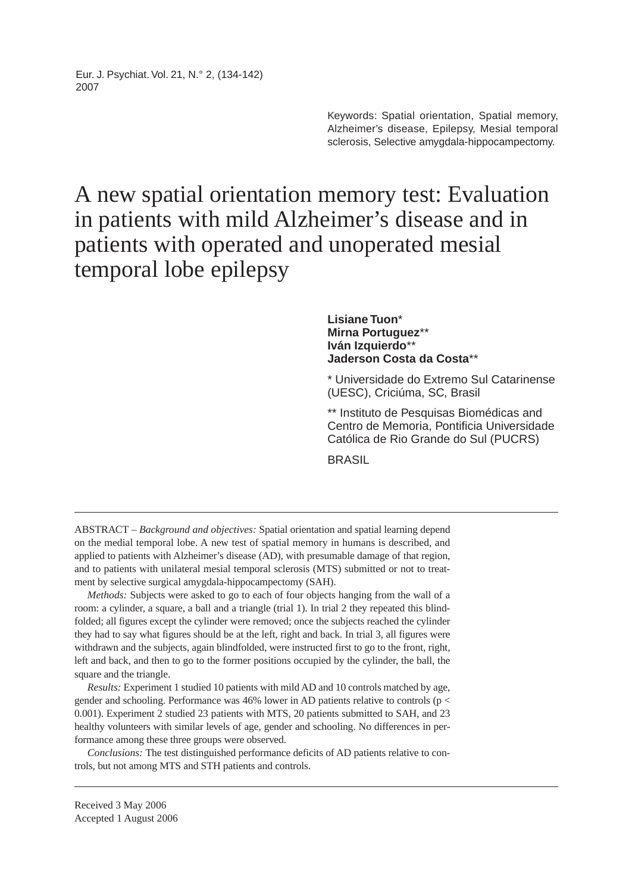Eur. J. Psychiat. Vol. 21, N.° 2, (134-142) 2007

> Keywords: Spatial orientation, Spatial memory, Alzheimer's disease, Epilepsy, Mesial temporal sclerosis, Selective amygdala-hippocampectomy.

# A new spatial orientation memory test: Evaluation in patients with mild Alzheimer's disease and in patients with operated and unoperated mesial temporal lobe epilepsy

## **Lisiane Tuon**\* **Mirna Portuguez**\*\* **Iván Izquierdo**\*\* **Jaderson Costa da Costa**\*\*

\* Universidade do Extremo Sul Catarinense (UESC), Criciúma, SC, Brasil

\*\* Instituto de Pesquisas Biomédicas and Centro de Memoria, Pontificia Universidade Católica de Rio Grande do Sul (PUCRS)

**BRASIL** 

ABSTRACT – *Background and objectives:* Spatial orientation and spatial learning depend on the medial temporal lobe. A new test of spatial memory in humans is described, and applied to patients with Alzheimer's disease (AD), with presumable damage of that region, and to patients with unilateral mesial temporal sclerosis (MTS) submitted or not to treatment by selective surgical amygdala-hippocampectomy (SAH).

*Methods:* Subjects were asked to go to each of four objects hanging from the wall of a room: a cylinder, a square, a ball and a triangle (trial 1). In trial 2 they repeated this blindfolded; all figures except the cylinder were removed; once the subjects reached the cylinder they had to say what figures should be at the left, right and back. In trial 3, all figures were withdrawn and the subjects, again blindfolded, were instructed first to go to the front, right, left and back, and then to go to the former positions occupied by the cylinder, the ball, the square and the triangle.

*Results:* Experiment 1 studied 10 patients with mild AD and 10 controls matched by age, gender and schooling. Performance was 46% lower in AD patients relative to controls (p < 0.001). Experiment 2 studied 23 patients with MTS, 20 patients submitted to SAH, and 23 healthy volunteers with similar levels of age, gender and schooling. No differences in performance among these three groups were observed.

*Conclusions:* The test distinguished performance deficits of AD patients relative to controls, but not among MTS and STH patients and controls.

Received 3 May 2006 Accepted 1 August 2006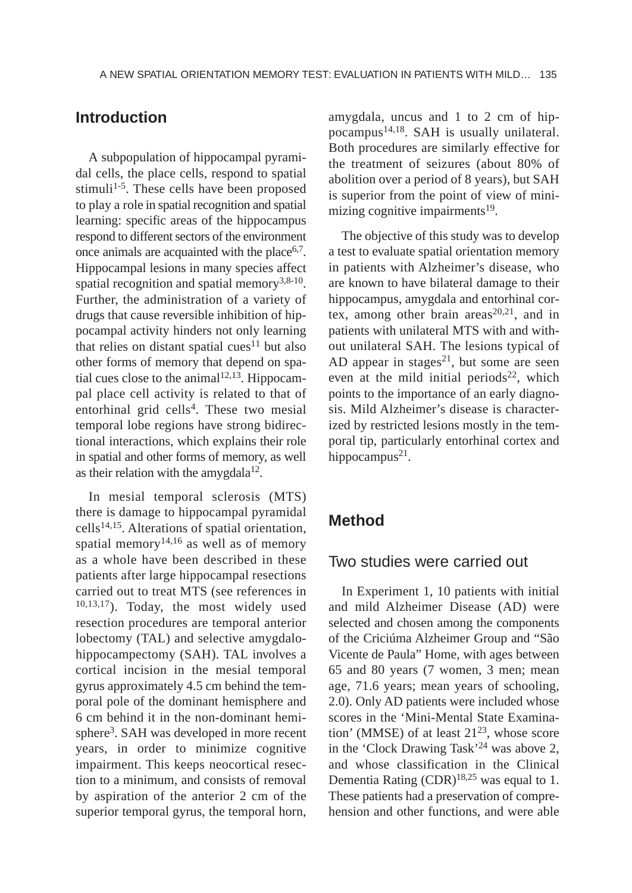# **Introduction**

A subpopulation of hippocampal pyramidal cells, the place cells, respond to spatial stimuli<sup>1-5</sup>. These cells have been proposed to play a role in spatial recognition and spatial learning: specific areas of the hippocampus respond to different sectors of the environment once animals are acquainted with the place  $6,7$ . Hippocampal lesions in many species affect spatial recognition and spatial memory<sup>3,8-10</sup>. Further, the administration of a variety of drugs that cause reversible inhibition of hippocampal activity hinders not only learning that relies on distant spatial cues<sup>11</sup> but also other forms of memory that depend on spatial cues close to the animal<sup>12,13</sup>. Hippocampal place cell activity is related to that of entorhinal grid cells<sup>4</sup>. These two mesial temporal lobe regions have strong bidirectional interactions, which explains their role in spatial and other forms of memory, as well as their relation with the amygdala $12$ .

In mesial temporal sclerosis (MTS) there is damage to hippocampal pyramidal  $cells<sup>14,15</sup>$ . Alterations of spatial orientation, spatial memory<sup>14,16</sup> as well as of memory as a whole have been described in these patients after large hippocampal resections carried out to treat MTS (see references in 10,13,17). Today, the most widely used resection procedures are temporal anterior lobectomy (TAL) and selective amygdalohippocampectomy (SAH). TAL involves a cortical incision in the mesial temporal gyrus approximately 4.5 cm behind the temporal pole of the dominant hemisphere and 6 cm behind it in the non-dominant hemisphere<sup>3</sup>. SAH was developed in more recent years, in order to minimize cognitive impairment. This keeps neocortical resection to a minimum, and consists of removal by aspiration of the anterior 2 cm of the superior temporal gyrus, the temporal horn,

amygdala, uncus and 1 to 2 cm of hippocampus<sup>14,18</sup>. SAH is usually unilateral. Both procedures are similarly effective for the treatment of seizures (about 80% of abolition over a period of 8 years), but SAH is superior from the point of view of minimizing cognitive impairments $19$ .

The objective of this study was to develop a test to evaluate spatial orientation memory in patients with Alzheimer's disease, who are known to have bilateral damage to their hippocampus, amygdala and entorhinal cortex, among other brain areas<sup>20,21</sup>, and in patients with unilateral MTS with and without unilateral SAH. The lesions typical of AD appear in stages<sup>21</sup>, but some are seen even at the mild initial periods<sup>22</sup>, which points to the importance of an early diagnosis. Mild Alzheimer's disease is characterized by restricted lesions mostly in the temporal tip, particularly entorhinal cortex and hippocampus<sup>21</sup>.

# **Method**

## Two studies were carried out

In Experiment 1, 10 patients with initial and mild Alzheimer Disease (AD) were selected and chosen among the components of the Criciúma Alzheimer Group and "São Vicente de Paula" Home, with ages between 65 and 80 years (7 women, 3 men; mean age, 71.6 years; mean years of schooling, 2.0). Only AD patients were included whose scores in the 'Mini-Mental State Examination' (MMSE) of at least  $21^{23}$ , whose score in the 'Clock Drawing Task'24 was above 2, and whose classification in the Clinical Dementia Rating  $(CDR)^{18,25}$  was equal to 1. These patients had a preservation of comprehension and other functions, and were able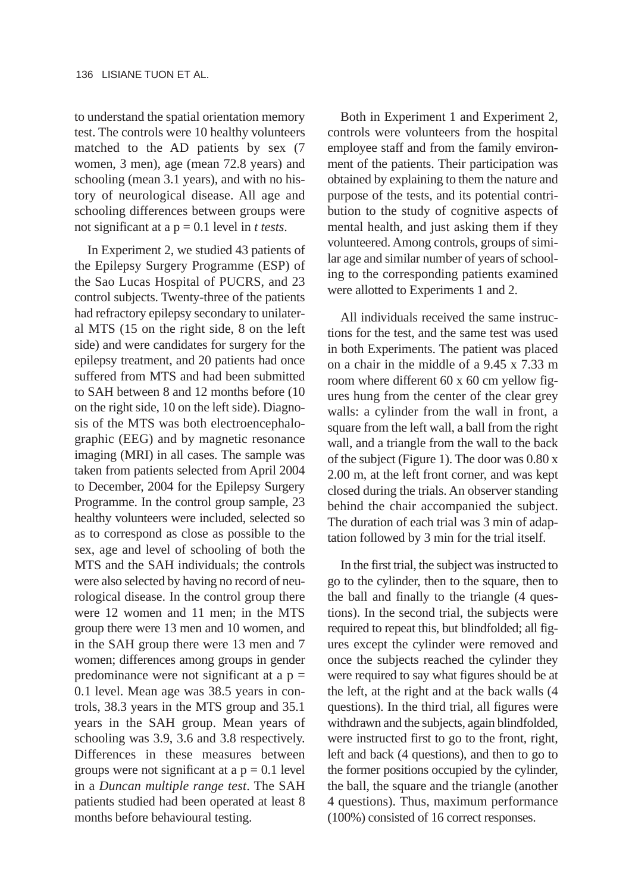to understand the spatial orientation memory test. The controls were 10 healthy volunteers matched to the AD patients by sex (7 women, 3 men), age (mean 72.8 years) and schooling (mean 3.1 years), and with no history of neurological disease. All age and schooling differences between groups were not significant at a p = 0.1 level in *t tests*.

In Experiment 2, we studied 43 patients of the Epilepsy Surgery Programme (ESP) of the Sao Lucas Hospital of PUCRS, and 23 control subjects. Twenty-three of the patients had refractory epilepsy secondary to unilateral MTS (15 on the right side, 8 on the left side) and were candidates for surgery for the epilepsy treatment, and 20 patients had once suffered from MTS and had been submitted to SAH between 8 and 12 months before (10 on the right side, 10 on the left side). Diagnosis of the MTS was both electroencephalographic (EEG) and by magnetic resonance imaging (MRI) in all cases. The sample was taken from patients selected from April 2004 to December, 2004 for the Epilepsy Surgery Programme. In the control group sample, 23 healthy volunteers were included, selected so as to correspond as close as possible to the sex, age and level of schooling of both the MTS and the SAH individuals; the controls were also selected by having no record of neurological disease. In the control group there were 12 women and 11 men; in the MTS group there were 13 men and 10 women, and in the SAH group there were 13 men and 7 women; differences among groups in gender predominance were not significant at a  $p =$ 0.1 level. Mean age was 38.5 years in controls, 38.3 years in the MTS group and 35.1 years in the SAH group. Mean years of schooling was 3.9, 3.6 and 3.8 respectively. Differences in these measures between groups were not significant at  $a$   $p = 0.1$  level in a *Duncan multiple range test*. The SAH patients studied had been operated at least 8 months before behavioural testing.

Both in Experiment 1 and Experiment 2, controls were volunteers from the hospital employee staff and from the family environment of the patients. Their participation was obtained by explaining to them the nature and purpose of the tests, and its potential contribution to the study of cognitive aspects of mental health, and just asking them if they volunteered. Among controls, groups of similar age and similar number of years of schooling to the corresponding patients examined were allotted to Experiments 1 and 2.

All individuals received the same instructions for the test, and the same test was used in both Experiments. The patient was placed on a chair in the middle of a 9.45 x 7.33 m room where different 60 x 60 cm yellow figures hung from the center of the clear grey walls: a cylinder from the wall in front, a square from the left wall, a ball from the right wall, and a triangle from the wall to the back of the subject (Figure 1). The door was 0.80 x 2.00 m, at the left front corner, and was kept closed during the trials. An observer standing behind the chair accompanied the subject. The duration of each trial was 3 min of adaptation followed by 3 min for the trial itself.

In the first trial, the subject was instructed to go to the cylinder, then to the square, then to the ball and finally to the triangle (4 questions). In the second trial, the subjects were required to repeat this, but blindfolded; all figures except the cylinder were removed and once the subjects reached the cylinder they were required to say what figures should be at the left, at the right and at the back walls (4 questions). In the third trial, all figures were withdrawn and the subjects, again blindfolded, were instructed first to go to the front, right, left and back (4 questions), and then to go to the former positions occupied by the cylinder, the ball, the square and the triangle (another 4 questions). Thus, maximum performance (100%) consisted of 16 correct responses.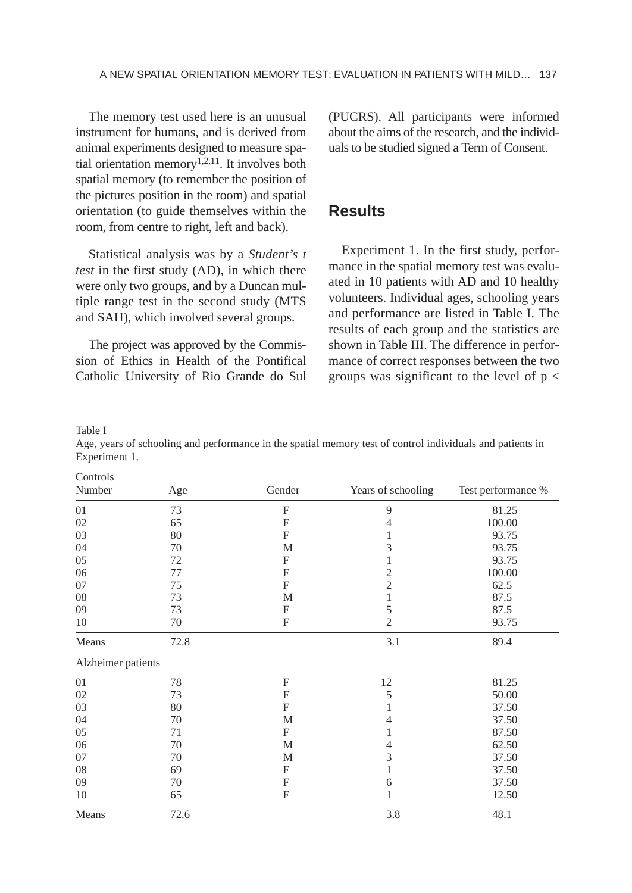The memory test used here is an unusual instrument for humans, and is derived from animal experiments designed to measure spatial orientation memory<sup>1,2,11</sup>. It involves both spatial memory (to remember the position of the pictures position in the room) and spatial orientation (to guide themselves within the room, from centre to right, left and back).

Statistical analysis was by a *Student's t test* in the first study (AD), in which there were only two groups, and by a Duncan multiple range test in the second study (MTS and SAH), which involved several groups.

The project was approved by the Commission of Ethics in Health of the Pontifical Catholic University of Rio Grande do Sul (PUCRS). All participants were informed about the aims of the research, and the individuals to be studied signed a Term of Consent.

# **Results**

Experiment 1. In the first study, performance in the spatial memory test was evaluated in 10 patients with AD and 10 healthy volunteers. Individual ages, schooling years and performance are listed in Table I. The results of each group and the statistics are shown in Table III. The difference in performance of correct responses between the two groups was significant to the level of  $p <$ 

Table I

 $\sim$ 

Age, years of schooling and performance in the spatial memory test of control individuals and patients in Experiment 1.

| Controls           |      |              |                    |                    |
|--------------------|------|--------------|--------------------|--------------------|
| Number             | Age  | Gender       | Years of schooling | Test performance % |
| 01                 | 73   | F            | 9                  | 81.25              |
| 02                 | 65   | F            | $\overline{4}$     | 100.00             |
| 03                 | 80   | F            | 1                  | 93.75              |
| 04                 | 70   | M            | 3                  | 93.75              |
| 05                 | 72   | F            | 1                  | 93.75              |
| 06                 | 77   | F            | $\mathfrak{2}$     | 100.00             |
| 07                 | 75   | F            | $\overline{c}$     | 62.5               |
| 08                 | 73   | M            | 1                  | 87.5               |
| 09                 | 73   | F            | 5                  | 87.5               |
| 10                 | 70   | $\mathbf{F}$ | $\mathfrak{2}$     | 93.75              |
| Means              | 72.8 |              | 3.1                | 89.4               |
| Alzheimer patients |      |              |                    |                    |
| 01                 | 78   | $\mathbf{F}$ | 12                 | 81.25              |
| 02                 | 73   | F            | 5                  | 50.00              |
| 03                 | 80   | $\mathbf{F}$ | 1                  | 37.50              |
| 04                 | 70   | M            | 4                  | 37.50              |
| 05                 | 71   | F            | 1                  | 87.50              |
| 06                 | 70   | M            | 4                  | 62.50              |
| 07                 | 70   | M            | 3                  | 37.50              |
| 08                 | 69   | F            | 1                  | 37.50              |
| 09                 | 70   | $\mathbf{F}$ | 6                  | 37.50              |
| 10                 | 65   | F            | 1                  | 12.50              |
| Means              | 72.6 |              | 3.8                | 48.1               |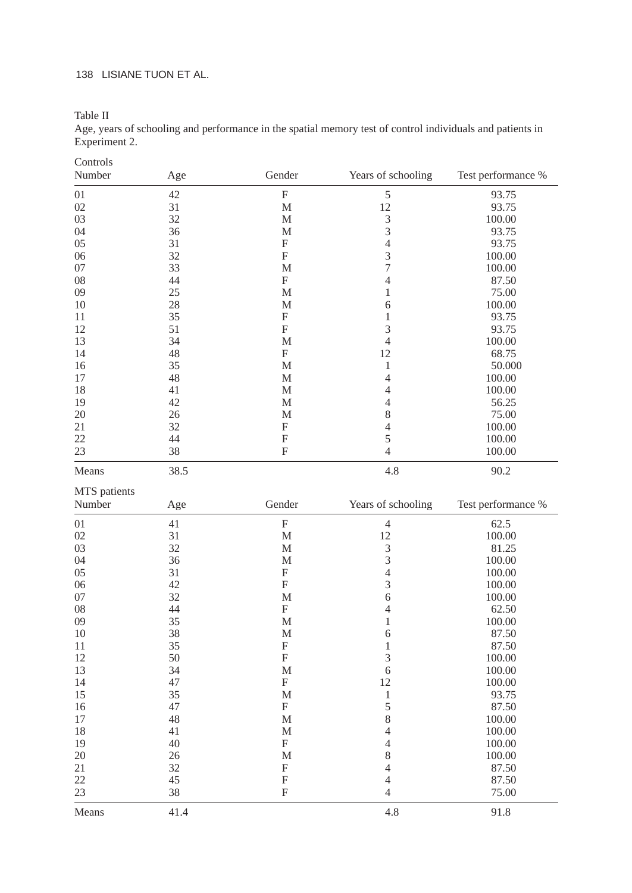## 138 LISIANE TUON ET AL.

Table II

Age, years of schooling and performance in the spatial memory test of control individuals and patients in Experiment 2.

| Controls     |          |              |                    |                    |
|--------------|----------|--------------|--------------------|--------------------|
| Number       | Age      | Gender       | Years of schooling | Test performance % |
| 01           | 42       | F            | 5                  | 93.75              |
| 02           | 31       | M            | 12                 | 93.75              |
| 03           | 32       | M            | 3                  | 100.00             |
| 04           | 36       | М            | 3                  | 93.75              |
| 05           | 31       | $\mathbf{F}$ | $\overline{4}$     | 93.75              |
| 06           | 32       | $\mathbf F$  | 3                  | 100.00             |
| 07           | 33       | M            | $\overline{7}$     | 100.00             |
| 08           | 44       | F            | $\overline{4}$     | 87.50              |
| 09           | 25       | M            | $\mathbf{1}$       | 75.00              |
| 10           | 28       | M            | 6                  | 100.00             |
| 11           | 35       | F            | $\mathbf{1}$       | 93.75              |
| 12           | 51       | $\mathbf F$  | 3                  | 93.75              |
| 13           | 34       | M            | $\overline{4}$     | 100.00             |
| 14           | 48       | F            | 12                 | 68.75              |
| 16           | 35       | M            | $\mathbf{1}$       | 50.000             |
| 17           | 48       | M            | $\overline{4}$     | 100.00             |
| 18           | 41       | М            | $\overline{4}$     | 100.00             |
| 19           | 42       | M            | $\overline{4}$     | 56.25              |
| 20           | 26       | М            | 8                  | 75.00              |
| 21           | 32       | F            | $\overline{4}$     |                    |
|              |          |              | 5                  | 100.00             |
| 22<br>23     | 44<br>38 | F<br>F       | $\overline{4}$     | 100.00             |
|              |          |              |                    | 100.00             |
| Means        | 38.5     |              | 4.8                | 90.2               |
| MTS patients |          |              |                    |                    |
|              |          |              |                    |                    |
| Number       | Age      | Gender       | Years of schooling | Test performance % |
| 01           | 41       | F            | $\sqrt{4}$         | 62.5               |
| 02           | 31       | М            | 12                 | 100.00             |
| 03           | 32       | М            | 3                  | 81.25              |
| 04           | 36       | M            | 3                  | 100.00             |
| 05           | 31       | F            | $\overline{4}$     | 100.00             |
| 06           | 42       | F            | 3                  | 100.00             |
| 07           | 32       | М            | 6                  | 100.00             |
| 08           | 44       | $\mathbf F$  | 4                  | 62.50              |
| 09           | 35       | M            | $\mathbf{1}$       | 100.00             |
| 10           | 38       | M            | 6                  | 87.50              |
| 11           | 35       | F            | $\mathbf{1}$       | 87.50              |
| 12           | 50       | F            | 3                  | 100.00             |
| 13           | 34       | M            | 6                  | 100.00             |
| 14           | 47       | F            | 12                 | 100.00             |
| 15           | 35       | M            | $\mathbf{1}$       | 93.75              |
| 16           | 47       | F            | 5                  | 87.50              |
| 17           | 48       | M            | 8                  | 100.00             |
| 18           | 41       | М            | $\overline{4}$     | 100.00             |
| 19           | 40       | F            | $\overline{4}$     | 100.00             |
| 20           | 26       | M            | 8                  |                    |
| 21           | 32       | F            | $\overline{4}$     | 100.00<br>87.50    |
| 22           | 45       | F            | $\overline{4}$     | 87.50              |
| 23           | 38       | F            | $\overline{4}$     | 75.00              |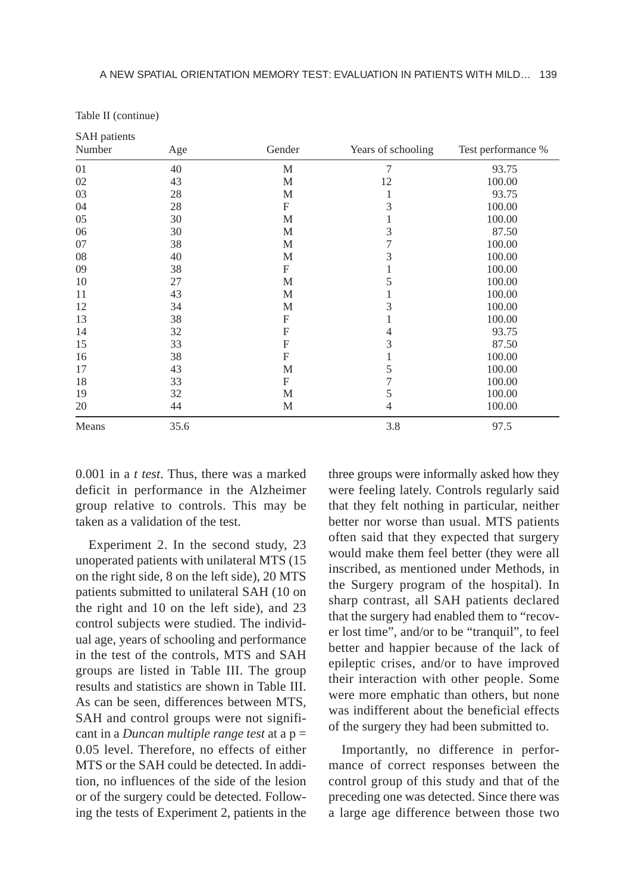| <b>SAH</b> patients |      |              |                    |                    |
|---------------------|------|--------------|--------------------|--------------------|
| Number              | Age  | Gender       | Years of schooling | Test performance % |
| 01                  | 40   | M            | $\tau$             | 93.75              |
| 02                  | 43   | M            | 12                 | 100.00             |
| 03                  | 28   | M            | 1                  | 93.75              |
| 04                  | 28   | F            | 3                  | 100.00             |
| 05                  | 30   | M            | 1                  | 100.00             |
| 06                  | 30   | M            | 3                  | 87.50              |
| 07                  | 38   | M            | 7                  | 100.00             |
| 08                  | 40   | M            | $\mathfrak z$      | 100.00             |
| 09                  | 38   | F            | 1                  | 100.00             |
| 10                  | 27   | M            | 5                  | 100.00             |
| 11                  | 43   | M            | 1                  | 100.00             |
| 12                  | 34   | M            | 3                  | 100.00             |
| 13                  | 38   | F            | 1                  | 100.00             |
| 14                  | 32   | $\mathbf{F}$ | 4                  | 93.75              |
| 15                  | 33   | $\mathbf{F}$ | 3                  | 87.50              |
| 16                  | 38   | $\mathbf{F}$ | 1                  | 100.00             |
| 17                  | 43   | M            | 5                  | 100.00             |
| 18                  | 33   | F            | 7                  | 100.00             |
| 19                  | 32   | M            | 5                  | 100.00             |
| 20                  | 44   | M            | $\overline{4}$     | 100.00             |
| Means               | 35.6 |              | 3.8                | 97.5               |

Table II (continue)

0.001 in a *t test*. Thus, there was a marked deficit in performance in the Alzheimer group relative to controls. This may be taken as a validation of the test.

Experiment 2. In the second study, 23 unoperated patients with unilateral MTS (15 on the right side, 8 on the left side), 20 MTS patients submitted to unilateral SAH (10 on the right and 10 on the left side), and 23 control subjects were studied. The individual age, years of schooling and performance in the test of the controls, MTS and SAH groups are listed in Table III. The group results and statistics are shown in Table III. As can be seen, differences between MTS, SAH and control groups were not significant in a *Duncan multiple range test* at a p = 0.05 level. Therefore, no effects of either MTS or the SAH could be detected. In addition, no influences of the side of the lesion or of the surgery could be detected. Following the tests of Experiment 2, patients in the

three groups were informally asked how they were feeling lately. Controls regularly said that they felt nothing in particular, neither better nor worse than usual. MTS patients often said that they expected that surgery would make them feel better (they were all inscribed, as mentioned under Methods, in the Surgery program of the hospital). In sharp contrast, all SAH patients declared that the surgery had enabled them to "recover lost time", and/or to be "tranquil", to feel better and happier because of the lack of epileptic crises, and/or to have improved their interaction with other people. Some were more emphatic than others, but none was indifferent about the beneficial effects of the surgery they had been submitted to.

Importantly, no difference in performance of correct responses between the control group of this study and that of the preceding one was detected. Since there was a large age difference between those two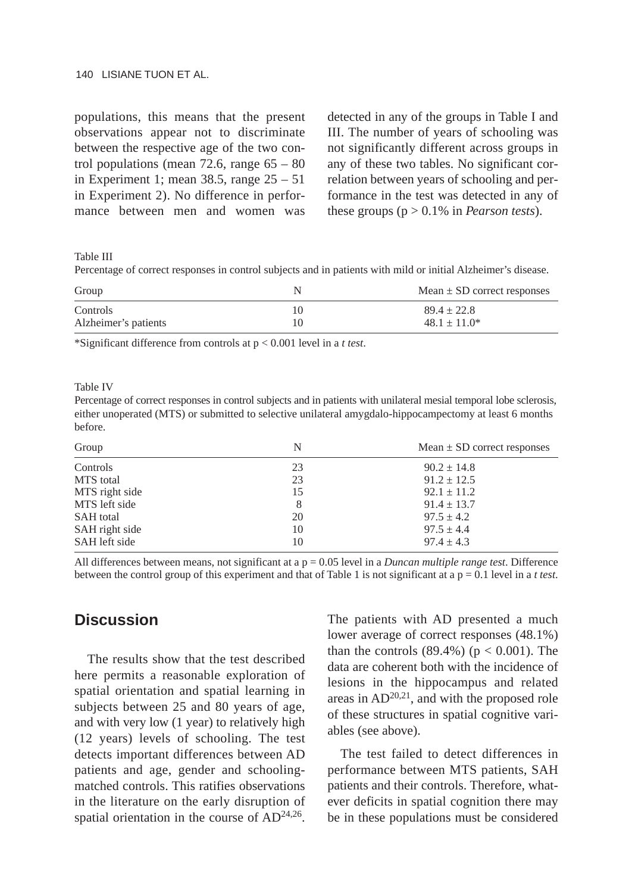### 140 LISIANE TUON ET AL.

populations, this means that the present observations appear not to discriminate between the respective age of the two control populations (mean 72.6, range  $65 - 80$ in Experiment 1; mean 38.5, range 25 – 51 in Experiment 2). No difference in performance between men and women was detected in any of the groups in Table I and III. The number of years of schooling was not significantly different across groups in any of these two tables. No significant correlation between years of schooling and performance in the test was detected in any of these groups (p > 0.1% in *Pearson tests*).

Table III

Percentage of correct responses in control subjects and in patients with mild or initial Alzheimer's disease.

| Group                | N | Mean $\pm$ SD correct responses |
|----------------------|---|---------------------------------|
| Controls             |   | $89.4 + 22.8$                   |
| Alzheimer's patients |   | $48.1 + 11.0*$                  |

\*Significant difference from controls at p < 0.001 level in a *t test*.

Table IV

Percentage of correct responses in control subjects and in patients with unilateral mesial temporal lobe sclerosis, either unoperated (MTS) or submitted to selective unilateral amygdalo-hippocampectomy at least 6 months before.

| Group            | N  | Mean $\pm$ SD correct responses |
|------------------|----|---------------------------------|
| Controls         | 23 | $90.2 \pm 14.8$                 |
| MTS total        | 23 | $91.2 \pm 12.5$                 |
| MTS right side   | 15 | $92.1 \pm 11.2$                 |
| MTS left side    | 8  | $91.4 \pm 13.7$                 |
| <b>SAH</b> total | 20 | $97.5 \pm 4.2$                  |
| SAH right side   | 10 | $97.5 \pm 4.4$                  |
| SAH left side    | 10 | $97.4 \pm 4.3$                  |

All differences between means, not significant at a p = 0.05 level in a *Duncan multiple range test*. Difference between the control group of this experiment and that of Table 1 is not significant at a  $p = 0.1$  level in a *t test*.

# **Discussion**

The results show that the test described here permits a reasonable exploration of spatial orientation and spatial learning in subjects between 25 and 80 years of age, and with very low (1 year) to relatively high (12 years) levels of schooling. The test detects important differences between AD patients and age, gender and schoolingmatched controls. This ratifies observations in the literature on the early disruption of spatial orientation in the course of  $AD^{24,26}$ .

The patients with AD presented a much lower average of correct responses (48.1%) than the controls  $(89.4\%)$  ( $p < 0.001$ ). The data are coherent both with the incidence of lesions in the hippocampus and related areas in  $AD^{20,21}$ , and with the proposed role of these structures in spatial cognitive variables (see above).

The test failed to detect differences in performance between MTS patients, SAH patients and their controls. Therefore, whatever deficits in spatial cognition there may be in these populations must be considered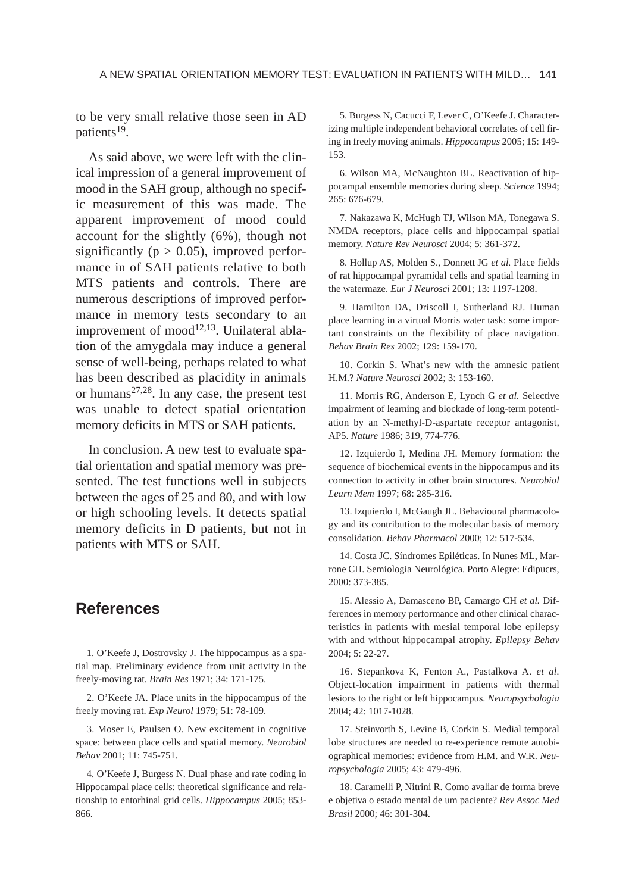to be very small relative those seen in AD patients<sup>19</sup>.

As said above, we were left with the clinical impression of a general improvement of mood in the SAH group, although no specific measurement of this was made. The apparent improvement of mood could account for the slightly (6%), though not significantly ( $p > 0.05$ ), improved performance in of SAH patients relative to both MTS patients and controls. There are numerous descriptions of improved performance in memory tests secondary to an improvement of mood $12,13$ . Unilateral ablation of the amygdala may induce a general sense of well-being, perhaps related to what has been described as placidity in animals or humans<sup>27,28</sup>. In any case, the present test was unable to detect spatial orientation memory deficits in MTS or SAH patients.

In conclusion. A new test to evaluate spatial orientation and spatial memory was presented. The test functions well in subjects between the ages of 25 and 80, and with low or high schooling levels. It detects spatial memory deficits in D patients, but not in patients with MTS or SAH.

# **References**

1. O'Keefe J, Dostrovsky J. The hippocampus as a spatial map. Preliminary evidence from unit activity in the freely-moving rat. *Brain Res* 1971; 34: 171-175.

2. O'Keefe JA. Place units in the hippocampus of the freely moving rat. *Exp Neurol* 1979; 51: 78-109.

3. Moser E, Paulsen O. New excitement in cognitive space: between place cells and spatial memory. *Neurobiol Behav* 2001; 11: 745-751.

4. O'Keefe J, Burgess N. Dual phase and rate coding in Hippocampal place cells: theoretical significance and relationship to entorhinal grid cells. *Hippocampus* 2005; 853- 866.

5. Burgess N, Cacucci F, Lever C, O'Keefe J. Characterizing multiple independent behavioral correlates of cell firing in freely moving animals. *Hippocampus* 2005; 15: 149- 153.

6. Wilson MA, McNaughton BL. Reactivation of hippocampal ensemble memories during sleep. *Science* 1994; 265: 676-679.

7. Nakazawa K, McHugh TJ, Wilson MA, Tonegawa S. NMDA receptors, place cells and hippocampal spatial memory. *Nature Rev Neurosci* 2004; 5: 361-372.

8. Hollup AS, Molden S., Donnett JG *et al.* Place fields of rat hippocampal pyramidal cells and spatial learning in the watermaze. *Eur J Neurosci* 2001; 13: 1197-1208.

9. Hamilton DA, Driscoll I, Sutherland RJ. Human place learning in a virtual Morris water task: some important constraints on the flexibility of place navigation. *Behav Brain Res* 2002; 129: 159-170.

10. Corkin S. What's new with the amnesic patient H.M.? *Nature Neurosci* 2002; 3: 153-160.

11. Morris RG, Anderson E, Lynch G *et al.* Selective impairment of learning and blockade of long-term potentiation by an N-methyl-D-aspartate receptor antagonist, AP5. *Nature* 1986; 319, 774-776.

12. Izquierdo I, Medina JH. Memory formation: the sequence of biochemical events in the hippocampus and its connection to activity in other brain structures. *Neurobiol Learn Mem* 1997; 68: 285-316.

13. Izquierdo I, McGaugh JL. Behavioural pharmacology and its contribution to the molecular basis of memory consolidation. *Behav Pharmacol* 2000; 12: 517-534.

14. Costa JC. Síndromes Epiléticas. In Nunes ML, Marrone CH. Semiologia Neurológica. Porto Alegre: Edipucrs, 2000: 373-385.

15. Alessio A, Damasceno BP, Camargo CH *et al.* Differences in memory performance and other clinical characteristics in patients with mesial temporal lobe epilepsy with and without hippocampal atrophy. *Epilepsy Behav* 2004; 5: 22-27.

16. Stepankova K, Fenton A., Pastalkova A. *et al.* Object-location impairment in patients with thermal lesions to the right or left hippocampus. *Neuropsychologia* 2004; 42: 1017-1028.

17. Steinvorth S, Levine B, Corkin S. Medial temporal lobe structures are needed to re-experience remote autobiographical memories: evidence from H**.**M. and W.R. *Neuropsychologia* 2005; 43: 479-496.

18. Caramelli P, Nitrini R. Como avaliar de forma breve e objetiva o estado mental de um paciente? *Rev Assoc Med Brasil* 2000; 46: 301-304.